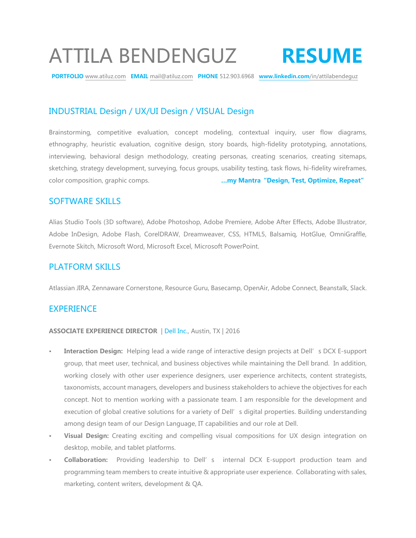# ATTILA BENDENGUZ **RESUME**

**PORTFOLIO** www.atiluz.com **EMAIL** mail@atiluz.com **PHONE** 512.903.6968 **www.linkedin.com**/in/attilabendeguz

# INDUSTRIAL Design / UX/UI Design / VISUAL Design

Brainstorming, competitive evaluation, concept modeling, contextual inquiry, user flow diagrams, ethnography, heuristic evaluation, cognitive design, story boards, high-fidelity prototyping, annotations, interviewing, behavioral design methodology, creating personas, creating scenarios, creating sitemaps, sketching, strategy development, surveying, focus groups, usability testing, task flows, hi-fidelity wireframes, color composition, graphic comps. **…my Mantra"Design, Test, Optimize, Repeat"**

## SOFTWARE SKILLS

Alias Studio Tools (3D software), Adobe Photoshop, Adobe Premiere, Adobe After Effects, Adobe Illustrator, Adobe InDesign, Adobe Flash, CorelDRAW, Dreamweaver, CSS, HTML5, Balsamiq, HotGlue, OmniGraffle, Evernote Skitch, Microsoft Word, Microsoft Excel, Microsoft PowerPoint.

## PLATFORM SKILLS

Atlassian JIRA, Zennaware Cornerstone, Resource Guru, Basecamp, OpenAir, Adobe Connect, Beanstalk, Slack.

## **EXPERIENCE**

#### **ASSOCIATE EXPERIENCE DIRECTOR** | Dell Inc., Austin, TX | 2016

- **Interaction Design:** Helping lead a wide range of interactive design projects at Dell's DCX E-support group, that meet user, technical, and business objectives while maintaining the Dell brand. In addition, working closely with other user experience designers, user experience architects, content strategists, taxonomists, account managers, developers and business stakeholders to achieve the objectives for each concept. Not to mention working with a passionate team. I am responsible for the development and execution of global creative solutions for a variety of Dell's digital properties. Building understanding among design team of our Design Language, IT capabilities and our role at Dell.
- **• Visual Design:** Creating exciting and compelling visual compositions for UX design integration on desktop, mobile, and tablet platforms.
- **• Collaboration:** Providing leadership to Dell's internal DCX E-support production team and programming team members to create intuitive & appropriate user experience. Collaborating with sales, marketing, content writers, development & QA.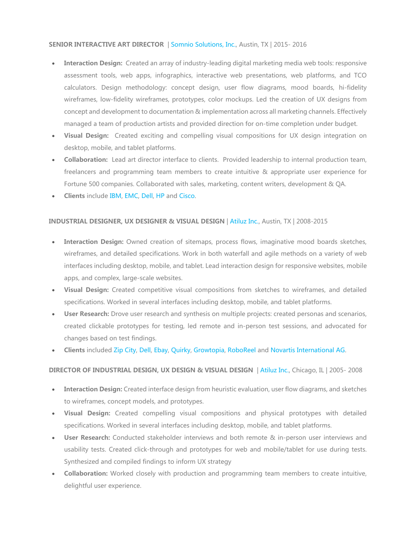#### **SENIOR INTERACTIVE ART DIRECTOR** | Somnio Solutions, Inc., Austin, TX | 2015- 2016

- **Interaction Design:** Created an array of industry-leading digital marketing media web tools: responsive assessment tools, web apps, infographics, interactive web presentations, web platforms, and TCO calculators. Design methodology: concept design, user flow diagrams, mood boards, hi-fidelity wireframes, low-fidelity wireframes, prototypes, color mockups. Led the creation of UX designs from concept and development to documentation & implementation across all marketing channels. Effectively managed a team of production artists and provided direction for on-time completion under budget.
- **Visual Design:** Created exciting and compelling visual compositions for UX design integration on desktop, mobile, and tablet platforms.
- **Collaboration:** Lead art director interface to clients. Provided leadership to internal production team, freelancers and programming team members to create intuitive & appropriate user experience for Fortune 500 companies. Collaborated with sales, marketing, content writers, development & QA.
- **Clients** include IBM, EMC, Dell, HP and Cisco.

#### **INDUSTRIAL DESIGNER, UX DESIGNER & VISUAL DESIGN** | Atiluz Inc., Austin, TX | 2008-2015

- **Interaction Design:** Owned creation of sitemaps, process flows, imaginative mood boards sketches, wireframes, and detailed specifications. Work in both waterfall and agile methods on a variety of web interfaces including desktop, mobile, and tablet. Lead interaction design for responsive websites, mobile apps, and complex, large-scale websites.
- **Visual Design:** Created competitive visual compositions from sketches to wireframes, and detailed specifications. Worked in several interfaces including desktop, mobile, and tablet platforms.
- **User Research:** Drove user research and synthesis on multiple projects: created personas and scenarios, created clickable prototypes for testing, led remote and in-person test sessions, and advocated for changes based on test findings.
- **Clients** included Zip City, Dell, Ebay, Quirky, Growtopia, RoboReel and Novartis International AG.

#### **DIRECTOR OF INDUSTRIAL DESIGN, UX DESIGN & VISUAL DESIGN** | Atiluz Inc., Chicago, IL | 2005- 2008

- **Interaction Design:** Created interface design from heuristic evaluation, user flow diagrams, and sketches to wireframes, concept models, and prototypes.
- **Visual Design:** Created compelling visual compositions and physical prototypes with detailed specifications. Worked in several interfaces including desktop, mobile, and tablet platforms.
- **User Research:** Conducted stakeholder interviews and both remote & in-person user interviews and usability tests. Created click-through and prototypes for web and mobile/tablet for use during tests. Synthesized and compiled findings to inform UX strategy
- **Collaboration:** Worked closely with production and programming team members to create intuitive, delightful user experience.